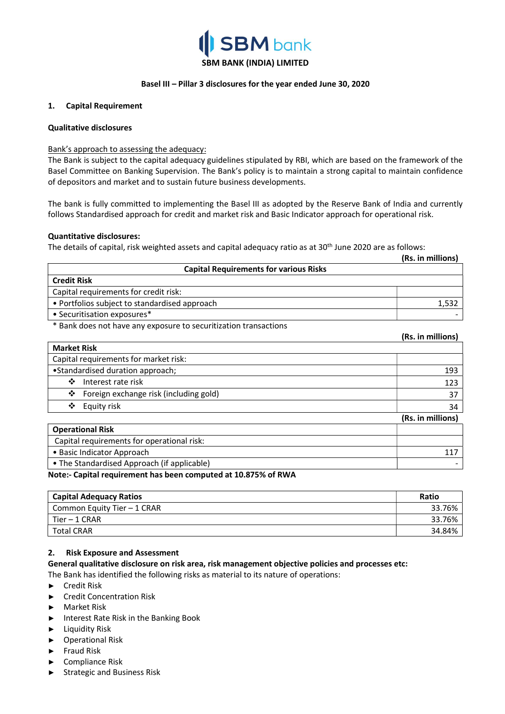

# SBM BANK (INDIA) LIMITED

# Basel III – Pillar 3 disclosures for the year ended June 30, 2020

#### 1. Capital Requirement

#### Qualitative disclosures

# Bank's approach to assessing the adequacy:

The Bank is subject to the capital adequacy guidelines stipulated by RBI, which are based on the framework of the Basel Committee on Banking Supervision. The Bank's policy is to maintain a strong capital to maintain confidence of depositors and market and to sustain future business developments.

The bank is fully committed to implementing the Basel III as adopted by the Reserve Bank of India and currently follows Standardised approach for credit and market risk and Basic Indicator approach for operational risk.

# Quantitative disclosures:

The details of capital, risk weighted assets and capital adequacy ratio as at 30<sup>th</sup> June 2020 are as follows:

|                                               | (Rs. in millions) |
|-----------------------------------------------|-------------------|
| <b>Capital Requirements for various Risks</b> |                   |
| <b>Credit Risk</b>                            |                   |
| Capital requirements for credit risk:         |                   |
| • Portfolios subject to standardised approach | 1.532             |
| • Securitisation exposures*                   |                   |

\* Bank does not have any exposure to securitization transactions

|                                             | (Rs. in millions) |
|---------------------------------------------|-------------------|
| <b>Market Risk</b>                          |                   |
| Capital requirements for market risk:       |                   |
| • Standardised duration approach;           | 193               |
| ❖<br>Interest rate risk                     | 123               |
| ❖<br>Foreign exchange risk (including gold) | 37                |
| ❖<br>Equity risk                            | 34                |
|                                             | (Rs. in millions) |
| <b>Operational Risk</b>                     |                   |
| Capital requirements for operational risk:  |                   |
| • Basic Indicator Approach                  | 117               |
| • The Standardised Approach (if applicable) |                   |

Note:- Capital requirement has been computed at 10.875% of RWA

| Capital Adequacy Ratios     | <b>Ratio</b> |
|-----------------------------|--------------|
| Common Equity Tier - 1 CRAR | 33.76%       |
| Tier – 1 CRAR               | 33.76%       |
| <b>Total CRAR</b>           | 34.84%       |

# 2. Risk Exposure and Assessment

General qualitative disclosure on risk area, risk management objective policies and processes etc:

The Bank has identified the following risks as material to its nature of operations:

- ► Credit Risk
- ► Credit Concentration Risk
- ► Market Risk
- ► Interest Rate Risk in the Banking Book
- ► Liquidity Risk
- ► Operational Risk
- ► Fraud Risk
- ► Compliance Risk
- ► Strategic and Business Risk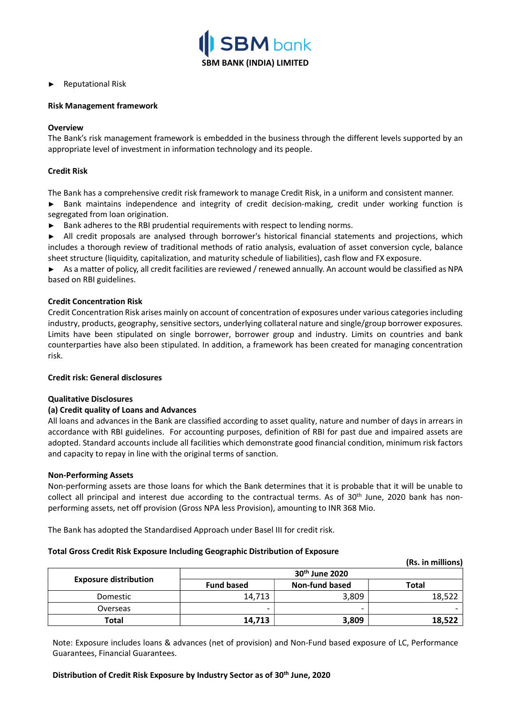

# ► Reputational Risk

#### Risk Management framework

#### **Overview**

The Bank's risk management framework is embedded in the business through the different levels supported by an appropriate level of investment in information technology and its people.

# Credit Risk

The Bank has a comprehensive credit risk framework to manage Credit Risk, in a uniform and consistent manner.

► Bank maintains independence and integrity of credit decision-making, credit under working function is segregated from loan origination.

► Bank adheres to the RBI prudential requirements with respect to lending norms.

► All credit proposals are analysed through borrower's historical financial statements and projections, which includes a thorough review of traditional methods of ratio analysis, evaluation of asset conversion cycle, balance sheet structure (liquidity, capitalization, and maturity schedule of liabilities), cash flow and FX exposure.

► As a matter of policy, all credit facilities are reviewed / renewed annually. An account would be classified as NPA based on RBI guidelines.

# Credit Concentration Risk

Credit Concentration Risk arises mainly on account of concentration of exposures under various categories including industry, products, geography, sensitive sectors, underlying collateral nature and single/group borrower exposures. Limits have been stipulated on single borrower, borrower group and industry. Limits on countries and bank counterparties have also been stipulated. In addition, a framework has been created for managing concentration risk.

#### Credit risk: General disclosures

#### Qualitative Disclosures

#### (a) Credit quality of Loans and Advances

All loans and advances in the Bank are classified according to asset quality, nature and number of days in arrears in accordance with RBI guidelines. For accounting purposes, definition of RBI for past due and impaired assets are adopted. Standard accounts include all facilities which demonstrate good financial condition, minimum risk factors and capacity to repay in line with the original terms of sanction.

#### Non-Performing Assets

Non-performing assets are those loans for which the Bank determines that it is probable that it will be unable to collect all principal and interest due according to the contractual terms. As of 30<sup>th</sup> June, 2020 bank has nonperforming assets, net off provision (Gross NPA less Provision), amounting to INR 368 Mio.

The Bank has adopted the Standardised Approach under Basel III for credit risk.

#### Total Gross Credit Risk Exposure Including Geographic Distribution of Exposure

|                              | 30 <sup>th</sup> June 2020 |                |              |
|------------------------------|----------------------------|----------------|--------------|
| <b>Exposure distribution</b> | <b>Fund based</b>          | Non-fund based | <b>Total</b> |
| Domestic                     | 14,713                     | 3,809          | 18,522       |
| Overseas                     |                            |                |              |
| Total                        | 14,713                     | 3,809          | 18,522       |

(Rs. in millions)

Note: Exposure includes loans & advances (net of provision) and Non-Fund based exposure of LC, Performance Guarantees, Financial Guarantees.

#### Distribution of Credit Risk Exposure by Industry Sector as of 30th June, 2020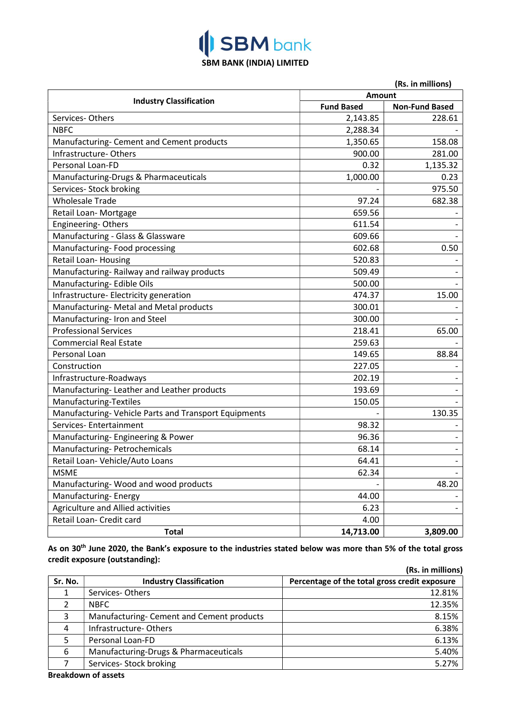# **ISBM** bank SBM BANK (INDIA) LIMITED

| (Rs. in millions)                                     |                   |                       |  |  |
|-------------------------------------------------------|-------------------|-----------------------|--|--|
| <b>Industry Classification</b>                        |                   | Amount                |  |  |
|                                                       | <b>Fund Based</b> | <b>Non-Fund Based</b> |  |  |
| Services-Others                                       | 2,143.85          | 228.61                |  |  |
| <b>NBFC</b>                                           | 2,288.34          |                       |  |  |
| Manufacturing- Cement and Cement products             | 1,350.65          | 158.08                |  |  |
| Infrastructure-Others                                 | 900.00            | 281.00                |  |  |
| Personal Loan-FD                                      | 0.32              | 1,135.32              |  |  |
| Manufacturing-Drugs & Pharmaceuticals                 | 1,000.00          | 0.23                  |  |  |
| Services- Stock broking                               |                   | 975.50                |  |  |
| <b>Wholesale Trade</b>                                | 97.24             | 682.38                |  |  |
| Retail Loan-Mortgage                                  | 659.56            |                       |  |  |
| <b>Engineering-Others</b>                             | 611.54            |                       |  |  |
| Manufacturing - Glass & Glassware                     | 609.66            |                       |  |  |
| Manufacturing-Food processing                         | 602.68            | 0.50                  |  |  |
| Retail Loan-Housing                                   | 520.83            |                       |  |  |
| Manufacturing-Railway and railway products            | 509.49            |                       |  |  |
| Manufacturing- Edible Oils                            | 500.00            |                       |  |  |
| Infrastructure- Electricity generation                | 474.37            | 15.00                 |  |  |
| Manufacturing- Metal and Metal products               | 300.01            |                       |  |  |
| Manufacturing- Iron and Steel                         | 300.00            |                       |  |  |
| <b>Professional Services</b>                          | 218.41            | 65.00                 |  |  |
| <b>Commercial Real Estate</b>                         | 259.63            |                       |  |  |
| Personal Loan                                         | 149.65            | 88.84                 |  |  |
| Construction                                          | 227.05            |                       |  |  |
| Infrastructure-Roadways                               | 202.19            |                       |  |  |
| Manufacturing-Leather and Leather products            | 193.69            |                       |  |  |
| Manufacturing-Textiles                                | 150.05            |                       |  |  |
| Manufacturing- Vehicle Parts and Transport Equipments |                   | 130.35                |  |  |
| Services-Entertainment                                | 98.32             |                       |  |  |
| Manufacturing- Engineering & Power                    | 96.36             |                       |  |  |
| Manufacturing- Petrochemicals                         | 68.14             | $\qquad \qquad -$     |  |  |
| Retail Loan- Vehicle/Auto Loans                       | 64.41             |                       |  |  |
| <b>MSME</b>                                           | 62.34             |                       |  |  |
| Manufacturing-Wood and wood products                  |                   | 48.20                 |  |  |
| Manufacturing-Energy                                  | 44.00             |                       |  |  |
| Agriculture and Allied activities                     | 6.23              |                       |  |  |
| Retail Loan- Credit card                              | 4.00              |                       |  |  |
| <b>Total</b>                                          | 14,713.00         | 3,809.00              |  |  |

As on 30<sup>th</sup> June 2020, the Bank's exposure to the industries stated below was more than 5% of the total gross credit exposure (outstanding):

|         |                                           | (Rs. in millions)                             |
|---------|-------------------------------------------|-----------------------------------------------|
| Sr. No. | <b>Industry Classification</b>            | Percentage of the total gross credit exposure |
|         | Services-Others                           | 12.81%                                        |
|         | <b>NBFC</b>                               | 12.35%                                        |
| 3       | Manufacturing- Cement and Cement products | 8.15%                                         |
| 4       | Infrastructure-Others                     | 6.38%                                         |
| 5       | Personal Loan-FD                          | 6.13%                                         |
| 6       | Manufacturing-Drugs & Pharmaceuticals     | 5.40%                                         |
|         | Services- Stock broking                   | 5.27%                                         |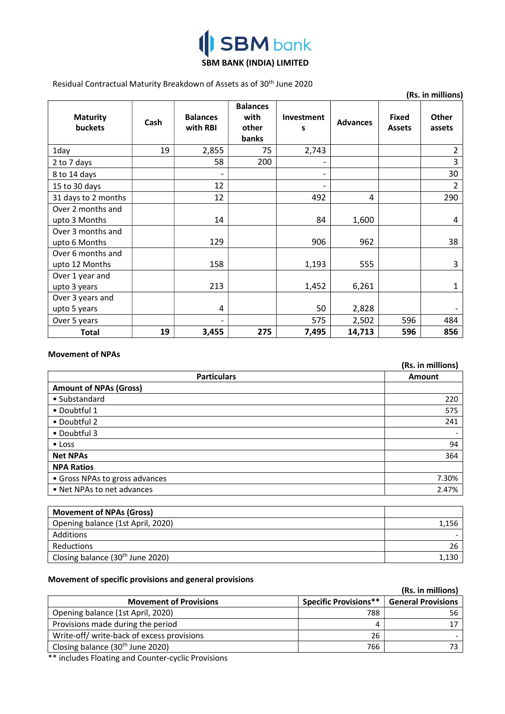

# SBM BANK (INDIA) LIMITED

Residual Contractual Maturity Breakdown of Assets as of 30<sup>th</sup> June 2020

|                                     |      |                             |                                           |                 |                 |                               | (Rs. in millions) |
|-------------------------------------|------|-----------------------------|-------------------------------------------|-----------------|-----------------|-------------------------------|-------------------|
| <b>Maturity</b><br><b>buckets</b>   | Cash | <b>Balances</b><br>with RBI | <b>Balances</b><br>with<br>other<br>banks | Investment<br>S | <b>Advances</b> | <b>Fixed</b><br><b>Assets</b> | Other<br>assets   |
| 1day                                | 19   | 2,855                       | 75                                        | 2,743           |                 |                               | $\overline{2}$    |
| 2 to 7 days                         |      | 58                          | 200                                       |                 |                 |                               | 3                 |
| 8 to 14 days                        |      |                             |                                           |                 |                 |                               | 30                |
| 15 to 30 days                       |      | 12                          |                                           |                 |                 |                               | 2                 |
| 31 days to 2 months                 |      | 12                          |                                           | 492             | 4               |                               | 290               |
| Over 2 months and<br>upto 3 Months  |      | 14                          |                                           | 84              | 1,600           |                               | 4                 |
| Over 3 months and<br>upto 6 Months  |      | 129                         |                                           | 906             | 962             |                               | 38                |
| Over 6 months and<br>upto 12 Months |      | 158                         |                                           | 1,193           | 555             |                               | 3                 |
| Over 1 year and<br>upto 3 years     |      | 213                         |                                           | 1,452           | 6,261           |                               | 1                 |
| Over 3 years and<br>upto 5 years    |      | 4                           |                                           | 50              | 2,828           |                               |                   |
| Over 5 years                        |      |                             |                                           | 575             | 2,502           | 596                           | 484               |
| <b>Total</b>                        | 19   | 3,455                       | 275                                       | 7,495           | 14,713          | 596                           | 856               |

#### Movement of NPAs

|                                | (Rs. in millions) |
|--------------------------------|-------------------|
| <b>Particulars</b>             | Amount            |
| <b>Amount of NPAs (Gross)</b>  |                   |
| • Substandard                  | 220               |
| • Doubtful 1                   | 575               |
| • Doubtful 2                   | 241               |
| • Doubtful 3                   |                   |
| $\bullet$ Loss                 | 94                |
| <b>Net NPAs</b>                | 364               |
| <b>NPA Ratios</b>              |                   |
| • Gross NPAs to gross advances | 7.30%             |
| • Net NPAs to net advances     | 2.47%             |
|                                |                   |
| $\sim$ $\sim$ $\sim$           |                   |

| <b>Movement of NPAs (Gross)</b>              |       |
|----------------------------------------------|-------|
| Opening balance (1st April, 2020)            | 1,156 |
| Additions                                    |       |
| Reductions                                   | 26    |
| Closing balance (30 <sup>th</sup> June 2020) | 1,130 |

# Movement of specific provisions and general provisions

| <b>Specific Provisions**</b> | <b>General Provisions</b> |
|------------------------------|---------------------------|
|                              |                           |
| 788                          | 56                        |
|                              |                           |
| 26                           |                           |
| 766                          |                           |
|                              |                           |

\*\* includes Floating and Counter-cyclic Provisions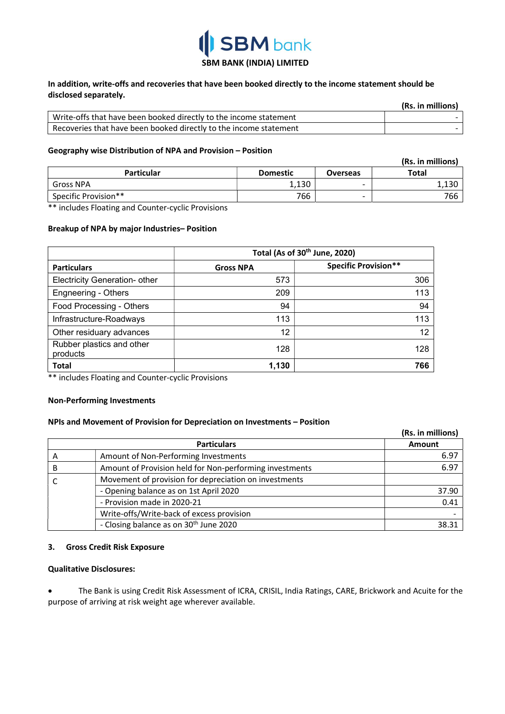

# SBM BANK (INDIA) LIMITED

# In addition, write-offs and recoveries that have been booked directly to the income statement should be disclosed separately.

|                                                                   | (Rs. in millions) |
|-------------------------------------------------------------------|-------------------|
| Write-offs that have been booked directly to the income statement |                   |
| Recoveries that have been booked directly to the income statement |                   |

# Geography wise Distribution of NPA and Provision – Position

|                      |                 |                          | (Rs. in millions) |
|----------------------|-----------------|--------------------------|-------------------|
| <b>Particular</b>    | <b>Domestic</b> | <b>Overseas</b>          | Total             |
| <b>Gross NPA</b>     | 1,130           | -                        | 1,130             |
| Specific Provision** | 766             | $\overline{\phantom{0}}$ | 766               |

\*\* includes Floating and Counter-cyclic Provisions

# Breakup of NPA by major Industries– Position

|                                       | Total (As of 30 <sup>th</sup> June, 2020) |                             |
|---------------------------------------|-------------------------------------------|-----------------------------|
| <b>Particulars</b>                    | <b>Gross NPA</b>                          | <b>Specific Provision**</b> |
| Electricity Generation- other         | 573                                       | 306                         |
| <b>Engneering - Others</b>            | 209                                       | 113                         |
| Food Processing - Others              | 94                                        | 94                          |
| Infrastructure-Roadways               | 113                                       | 113                         |
| Other residuary advances              | 12                                        | 12                          |
| Rubber plastics and other<br>products | 128                                       | 128                         |
| <b>Total</b>                          | 1,130                                     | 766                         |

\*\* includes Floating and Counter-cyclic Provisions

#### Non-Performing Investments

# NPIs and Movement of Provision for Depreciation on Investments – Position

|                    |                                                         | (Rs. in millions) |
|--------------------|---------------------------------------------------------|-------------------|
| <b>Particulars</b> |                                                         | Amount            |
|                    | Amount of Non-Performing Investments                    | 6.97              |
|                    | Amount of Provision held for Non-performing investments | 6.97              |
|                    | Movement of provision for depreciation on investments   |                   |
|                    | - Opening balance as on 1st April 2020                  | 37.90             |
|                    | - Provision made in 2020-21                             | 0.41              |
|                    | Write-offs/Write-back of excess provision               |                   |
|                    | - Closing balance as on 30 <sup>th</sup> June 2020      | 38.31             |

#### 3. Gross Credit Risk Exposure

#### Qualitative Disclosures:

 The Bank is using Credit Risk Assessment of ICRA, CRISIL, India Ratings, CARE, Brickwork and Acuite for the purpose of arriving at risk weight age wherever available.